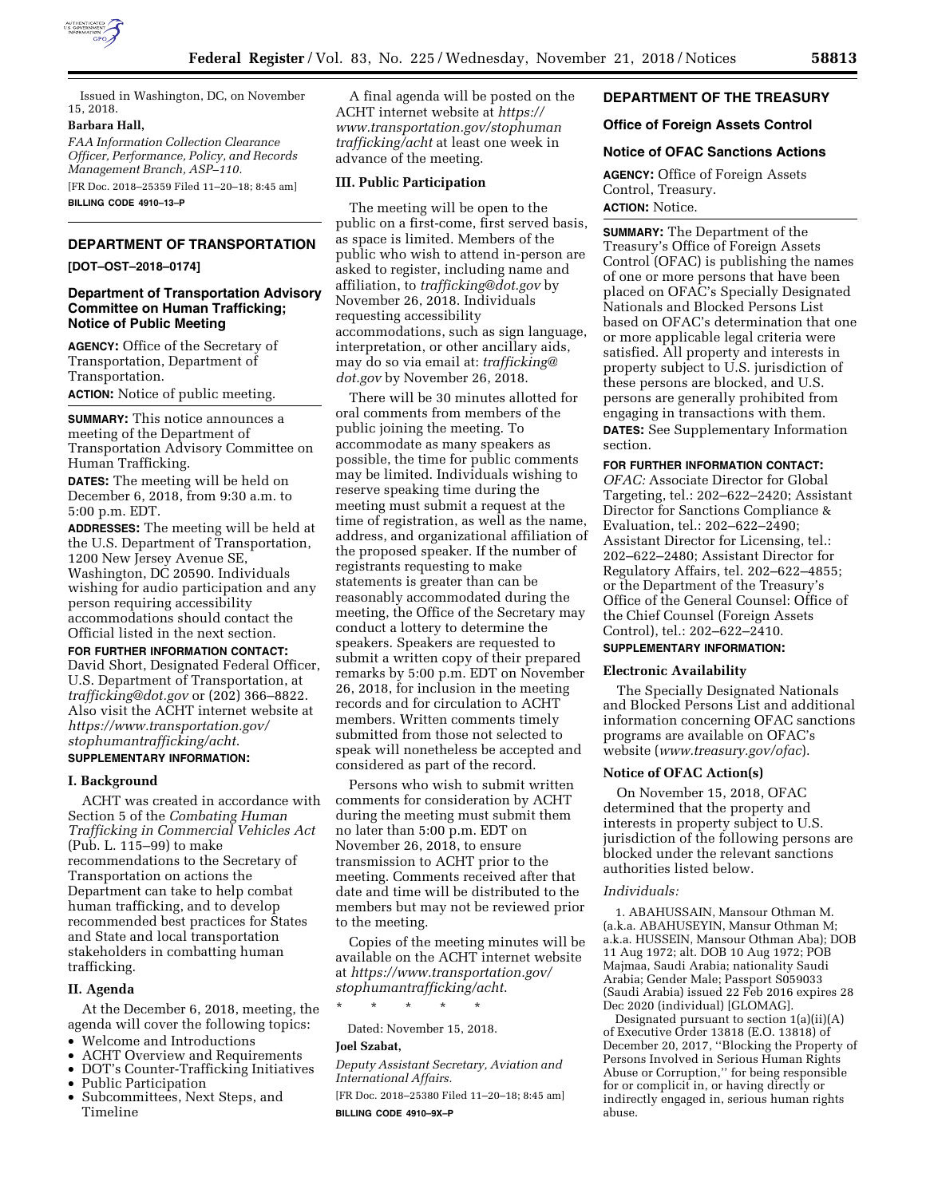

Issued in Washington, DC, on November 15, 2018.

### **Barbara Hall,**

*FAA Information Collection Clearance Officer, Performance, Policy, and Records Management Branch, ASP–110.* 

[FR Doc. 2018–25359 Filed 11–20–18; 8:45 am] **BILLING CODE 4910–13–P** 

# **DEPARTMENT OF TRANSPORTATION**

**[DOT–OST–2018–0174]** 

#### **Department of Transportation Advisory Committee on Human Trafficking; Notice of Public Meeting**

**AGENCY:** Office of the Secretary of Transportation, Department of Transportation.

**ACTION:** Notice of public meeting.

**SUMMARY:** This notice announces a meeting of the Department of Transportation Advisory Committee on Human Trafficking.

**DATES:** The meeting will be held on December 6, 2018, from 9:30 a.m. to 5:00 p.m. EDT.

**ADDRESSES:** The meeting will be held at the U.S. Department of Transportation, 1200 New Jersey Avenue SE, Washington, DC 20590. Individuals wishing for audio participation and any person requiring accessibility accommodations should contact the Official listed in the next section.

**FOR FURTHER INFORMATION CONTACT:**  David Short, Designated Federal Officer, U.S. Department of Transportation, at *[trafficking@dot.gov](mailto:trafficking@dot.gov)* or (202) 366–8822. Also visit the ACHT internet website at *[https://www.transportation.gov/](https://www.transportation.gov/stophumantrafficking/acht) [stophumantrafficking/acht](https://www.transportation.gov/stophumantrafficking/acht)*. **SUPPLEMENTARY INFORMATION:** 

#### **I. Background**

ACHT was created in accordance with Section 5 of the *Combating Human Trafficking in Commercial Vehicles Act*  (Pub. L. 115–99) to make recommendations to the Secretary of Transportation on actions the Department can take to help combat human trafficking, and to develop recommended best practices for States and State and local transportation stakeholders in combatting human trafficking.

#### **II. Agenda**

At the December 6, 2018, meeting, the agenda will cover the following topics:

- Welcome and Introductions
- ACHT Overview and Requirements<br>• DOT's Counter-Trafficking Initiative
- DOT's Counter-Trafficking Initiatives
- Public Participation
- Subcommittees, Next Steps, and Timeline

A final agenda will be posted on the ACHT internet website at *[https://](https://www.transportation.gov/stophumantrafficking/acht) [www.transportation.gov/stophuman](https://www.transportation.gov/stophumantrafficking/acht) [trafficking/acht](https://www.transportation.gov/stophumantrafficking/acht)* at least one week in advance of the meeting.

## **III. Public Participation**

The meeting will be open to the public on a first-come, first served basis, as space is limited. Members of the public who wish to attend in-person are asked to register, including name and affiliation, to *[trafficking@dot.gov](mailto:trafficking@dot.gov)* by November 26, 2018. Individuals requesting accessibility accommodations, such as sign language, interpretation, or other ancillary aids, may do so via email at: *[trafficking@](mailto:trafficking@dot.gov) [dot.gov](mailto:trafficking@dot.gov)* by November 26, 2018.

There will be 30 minutes allotted for oral comments from members of the public joining the meeting. To accommodate as many speakers as possible, the time for public comments may be limited. Individuals wishing to reserve speaking time during the meeting must submit a request at the time of registration, as well as the name, address, and organizational affiliation of the proposed speaker. If the number of registrants requesting to make statements is greater than can be reasonably accommodated during the meeting, the Office of the Secretary may conduct a lottery to determine the speakers. Speakers are requested to submit a written copy of their prepared remarks by 5:00 p.m. EDT on November 26, 2018, for inclusion in the meeting records and for circulation to ACHT members. Written comments timely submitted from those not selected to speak will nonetheless be accepted and considered as part of the record.

Persons who wish to submit written comments for consideration by ACHT during the meeting must submit them no later than 5:00 p.m. EDT on November 26, 2018, to ensure transmission to ACHT prior to the meeting. Comments received after that date and time will be distributed to the members but may not be reviewed prior to the meeting.

Copies of the meeting minutes will be available on the ACHT internet website at *[https://www.transportation.gov/](https://www.transportation.gov/stophumantrafficking/acht)  [stophumantrafficking/acht](https://www.transportation.gov/stophumantrafficking/acht)*.

\* \* \* \* \*

Dated: November 15, 2018.

# **Joel Szabat,**

*Deputy Assistant Secretary, Aviation and International Affairs.* 

[FR Doc. 2018–25380 Filed 11–20–18; 8:45 am] **BILLING CODE 4910–9X–P** 

## **DEPARTMENT OF THE TREASURY**

## **Office of Foreign Assets Control**

## **Notice of OFAC Sanctions Actions**

**AGENCY:** Office of Foreign Assets Control, Treasury. **ACTION:** Notice.

**SUMMARY:** The Department of the Treasury's Office of Foreign Assets Control (OFAC) is publishing the names of one or more persons that have been placed on OFAC's Specially Designated Nationals and Blocked Persons List based on OFAC's determination that one or more applicable legal criteria were satisfied. All property and interests in property subject to U.S. jurisdiction of these persons are blocked, and U.S. persons are generally prohibited from engaging in transactions with them. **DATES:** See Supplementary Information section.

#### **FOR FURTHER INFORMATION CONTACT:**

*OFAC:* Associate Director for Global Targeting, tel.: 202–622–2420; Assistant Director for Sanctions Compliance & Evaluation, tel.: 202–622–2490; Assistant Director for Licensing, tel.: 202–622–2480; Assistant Director for Regulatory Affairs, tel. 202–622–4855; or the Department of the Treasury's Office of the General Counsel: Office of the Chief Counsel (Foreign Assets Control), tel.: 202–622–2410.

# **SUPPLEMENTARY INFORMATION:**

# **Electronic Availability**

The Specially Designated Nationals and Blocked Persons List and additional information concerning OFAC sanctions programs are available on OFAC's website (*[www.treasury.gov/ofac](http://www.treasury.gov/ofac)*).

## **Notice of OFAC Action(s)**

On November 15, 2018, OFAC determined that the property and interests in property subject to U.S. jurisdiction of the following persons are blocked under the relevant sanctions authorities listed below.

#### *Individuals:*

1. ABAHUSSAIN, Mansour Othman M. (a.k.a. ABAHUSEYIN, Mansur Othman M; a.k.a. HUSSEIN, Mansour Othman Aba); DOB 11 Aug 1972; alt. DOB 10 Aug 1972; POB Majmaa, Saudi Arabia; nationality Saudi Arabia; Gender Male; Passport S059033 (Saudi Arabia) issued 22 Feb 2016 expires 28 Dec 2020 (individual) [GLOMAG].

Designated pursuant to section 1(a)(ii)(A) of Executive Order 13818 (E.O. 13818) of December 20, 2017, ''Blocking the Property of Persons Involved in Serious Human Rights Abuse or Corruption,'' for being responsible for or complicit in, or having directly or indirectly engaged in, serious human rights abuse.